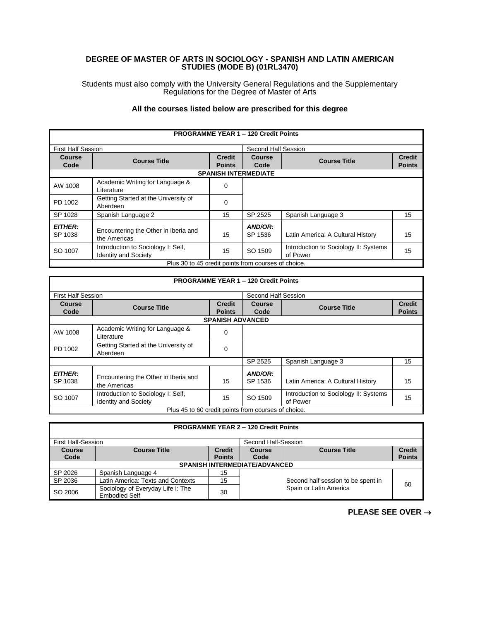## **DEGREE OF MASTER OF ARTS IN SOCIOLOGY - SPANISH AND LATIN AMERICAN STUDIES (MODE B) (01RL3470)**

Students must also comply with the University General Regulations and the Supplementary Regulations for the Degree of Master of Arts

## **All the courses listed below are prescribed for this degree**

| <b>PROGRAMME YEAR 1 - 120 Credit Points</b>         |                                                                   |                             |                    |                                                   |               |  |
|-----------------------------------------------------|-------------------------------------------------------------------|-----------------------------|--------------------|---------------------------------------------------|---------------|--|
|                                                     | <b>First Half Session</b>                                         |                             |                    | Second Half Session                               |               |  |
| Course                                              |                                                                   | <b>Credit</b>               | Course             | <b>Course Title</b>                               | <b>Credit</b> |  |
| Code                                                | <b>Course Title</b>                                               | <b>Points</b>               | Code               |                                                   | <b>Points</b> |  |
|                                                     |                                                                   | <b>SPANISH INTERMEDIATE</b> |                    |                                                   |               |  |
| AW 1008                                             | Academic Writing for Language &<br>Literature                     | $\Omega$                    |                    |                                                   |               |  |
| PD 1002                                             | Getting Started at the University of<br>Aberdeen                  | $\Omega$                    |                    |                                                   |               |  |
| SP 1028                                             | Spanish Language 2                                                | 15                          | SP 2525            | Spanish Language 3                                | 15            |  |
| <b>EITHER:</b><br>SP 1038                           | Encountering the Other in Iberia and<br>the Americas              | 15                          | AND/OR:<br>SP 1536 | Latin America: A Cultural History                 | 15            |  |
| SO 1007                                             | Introduction to Sociology I: Self,<br><b>Identity and Society</b> | 15                          | SO 1509            | Introduction to Sociology II: Systems<br>of Power | 15            |  |
| Plus 30 to 45 credit points from courses of choice. |                                                                   |                             |                    |                                                   |               |  |

| <b>PROGRAMME YEAR 1 - 120 Credit Points</b>         |                                                                   |                                |                       |                                                   |                                |
|-----------------------------------------------------|-------------------------------------------------------------------|--------------------------------|-----------------------|---------------------------------------------------|--------------------------------|
| <b>First Half Session</b>                           |                                                                   |                                | Second Half Session   |                                                   |                                |
| Course<br>Code                                      | <b>Course Title</b>                                               | <b>Credit</b><br><b>Points</b> | <b>Course</b><br>Code | <b>Course Title</b>                               | <b>Credit</b><br><b>Points</b> |
|                                                     |                                                                   | <b>SPANISH ADVANCED</b>        |                       |                                                   |                                |
| AW 1008                                             | Academic Writing for Language &<br>Literature                     | 0                              |                       |                                                   |                                |
| PD 1002                                             | Getting Started at the University of<br>Aberdeen                  | $\Omega$                       |                       |                                                   |                                |
|                                                     |                                                                   |                                | SP 2525               | Spanish Language 3                                | 15                             |
| <b>EITHER:</b><br>SP 1038                           | Encountering the Other in Iberia and<br>the Americas              | 15                             | AND/OR:<br>SP 1536    | Latin America: A Cultural History                 | 15                             |
| SO 1007                                             | Introduction to Sociology I: Self.<br><b>Identity and Society</b> | 15                             | SO 1509               | Introduction to Sociology II: Systems<br>of Power | 15                             |
| Plus 45 to 60 credit points from courses of choice. |                                                                   |                                |                       |                                                   |                                |

| <b>PROGRAMME YEAR 2 - 120 Credit Points</b> |                                                           |                                |                |                                    |                                |  |
|---------------------------------------------|-----------------------------------------------------------|--------------------------------|----------------|------------------------------------|--------------------------------|--|
|                                             | <b>First Half-Session</b><br>Second Half-Session          |                                |                |                                    |                                |  |
| <b>Course</b><br>Code                       | <b>Course Title</b>                                       | <b>Credit</b><br><b>Points</b> | Course<br>Code | <b>Course Title</b>                | <b>Credit</b><br><b>Points</b> |  |
| <b>SPANISH INTERMEDIATE/ADVANCED</b>        |                                                           |                                |                |                                    |                                |  |
| SP 2026                                     | Spanish Language 4                                        | 15                             |                |                                    |                                |  |
| SP 2036                                     | Latin America: Texts and Contexts                         | 15                             |                | Second half session to be spent in | 60                             |  |
| SO 2006                                     | Sociology of Everyday Life I: The<br><b>Embodied Self</b> | 30                             |                | Spain or Latin America             |                                |  |

**PLEASE SEE OVER** →